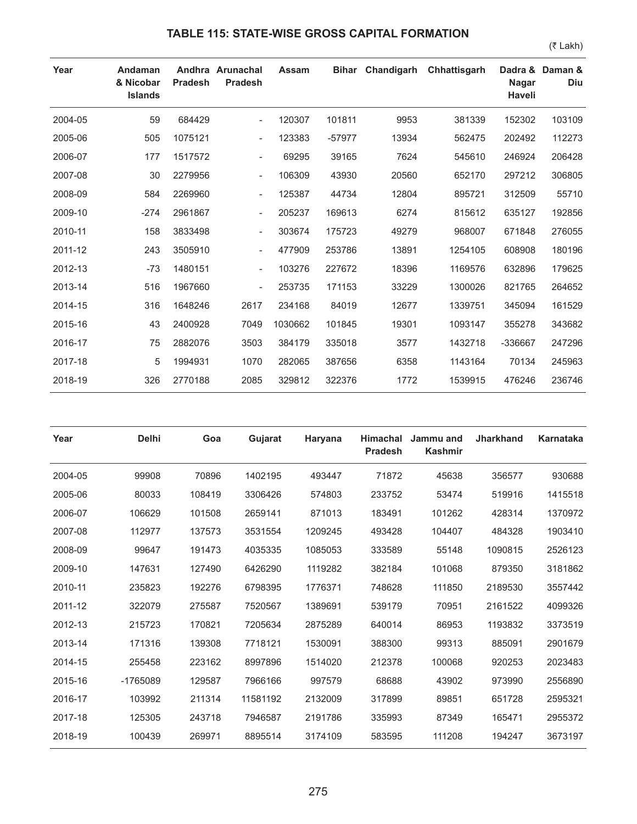## **TABLE 115: STATE-WISE GROSS CAPITAL FORMATION**

(₹ Lakh)

| Year    | Andaman<br>& Nicobar<br><b>Islands</b> | <b>Pradesh</b> | Andhra Arunachal<br><b>Pradesh</b> | <b>Assam</b> |          | Bihar Chandigarh | Chhattisgarh | <b>Nagar</b><br><b>Haveli</b> | Dadra & Daman &<br><b>Diu</b> |
|---------|----------------------------------------|----------------|------------------------------------|--------------|----------|------------------|--------------|-------------------------------|-------------------------------|
| 2004-05 | 59                                     | 684429         | $\overline{\phantom{a}}$           | 120307       | 101811   | 9953             | 381339       | 152302                        | 103109                        |
| 2005-06 | 505                                    | 1075121        | $\overline{\phantom{a}}$           | 123383       | $-57977$ | 13934            | 562475       | 202492                        | 112273                        |
| 2006-07 | 177                                    | 1517572        | $\sim$                             | 69295        | 39165    | 7624             | 545610       | 246924                        | 206428                        |
| 2007-08 | 30                                     | 2279956        | $\overline{\phantom{a}}$           | 106309       | 43930    | 20560            | 652170       | 297212                        | 306805                        |
| 2008-09 | 584                                    | 2269960        | $\overline{\phantom{a}}$           | 125387       | 44734    | 12804            | 895721       | 312509                        | 55710                         |
| 2009-10 | $-274$                                 | 2961867        | $\overline{\phantom{a}}$           | 205237       | 169613   | 6274             | 815612       | 635127                        | 192856                        |
| 2010-11 | 158                                    | 3833498        | $\overline{\phantom{a}}$           | 303674       | 175723   | 49279            | 968007       | 671848                        | 276055                        |
| 2011-12 | 243                                    | 3505910        | $\overline{\phantom{a}}$           | 477909       | 253786   | 13891            | 1254105      | 608908                        | 180196                        |
| 2012-13 | $-73$                                  | 1480151        | $\overline{\phantom{a}}$           | 103276       | 227672   | 18396            | 1169576      | 632896                        | 179625                        |
| 2013-14 | 516                                    | 1967660        | $\overline{\phantom{a}}$           | 253735       | 171153   | 33229            | 1300026      | 821765                        | 264652                        |
| 2014-15 | 316                                    | 1648246        | 2617                               | 234168       | 84019    | 12677            | 1339751      | 345094                        | 161529                        |
| 2015-16 | 43                                     | 2400928        | 7049                               | 1030662      | 101845   | 19301            | 1093147      | 355278                        | 343682                        |
| 2016-17 | 75                                     | 2882076        | 3503                               | 384179       | 335018   | 3577             | 1432718      | -336667                       | 247296                        |
| 2017-18 | 5                                      | 1994931        | 1070                               | 282065       | 387656   | 6358             | 1143164      | 70134                         | 245963                        |
| 2018-19 | 326                                    | 2770188        | 2085                               | 329812       | 322376   | 1772             | 1539915      | 476246                        | 236746                        |

| Year    | <b>Delhi</b> | Goa    | Gujarat  | Haryana | <b>Himachal</b><br><b>Pradesh</b> | Jammu and<br><b>Kashmir</b> | <b>Jharkhand</b> | Karnataka |
|---------|--------------|--------|----------|---------|-----------------------------------|-----------------------------|------------------|-----------|
| 2004-05 | 99908        | 70896  | 1402195  | 493447  | 71872                             | 45638                       | 356577           | 930688    |
| 2005-06 | 80033        | 108419 | 3306426  | 574803  | 233752                            | 53474                       | 519916           | 1415518   |
| 2006-07 | 106629       | 101508 | 2659141  | 871013  | 183491                            | 101262                      | 428314           | 1370972   |
| 2007-08 | 112977       | 137573 | 3531554  | 1209245 | 493428                            | 104407                      | 484328           | 1903410   |
| 2008-09 | 99647        | 191473 | 4035335  | 1085053 | 333589                            | 55148                       | 1090815          | 2526123   |
| 2009-10 | 147631       | 127490 | 6426290  | 1119282 | 382184                            | 101068                      | 879350           | 3181862   |
| 2010-11 | 235823       | 192276 | 6798395  | 1776371 | 748628                            | 111850                      | 2189530          | 3557442   |
| 2011-12 | 322079       | 275587 | 7520567  | 1389691 | 539179                            | 70951                       | 2161522          | 4099326   |
| 2012-13 | 215723       | 170821 | 7205634  | 2875289 | 640014                            | 86953                       | 1193832          | 3373519   |
| 2013-14 | 171316       | 139308 | 7718121  | 1530091 | 388300                            | 99313                       | 885091           | 2901679   |
| 2014-15 | 255458       | 223162 | 8997896  | 1514020 | 212378                            | 100068                      | 920253           | 2023483   |
| 2015-16 | -1765089     | 129587 | 7966166  | 997579  | 68688                             | 43902                       | 973990           | 2556890   |
| 2016-17 | 103992       | 211314 | 11581192 | 2132009 | 317899                            | 89851                       | 651728           | 2595321   |
| 2017-18 | 125305       | 243718 | 7946587  | 2191786 | 335993                            | 87349                       | 165471           | 2955372   |
| 2018-19 | 100439       | 269971 | 8895514  | 3174109 | 583595                            | 111208                      | 194247           | 3673197   |